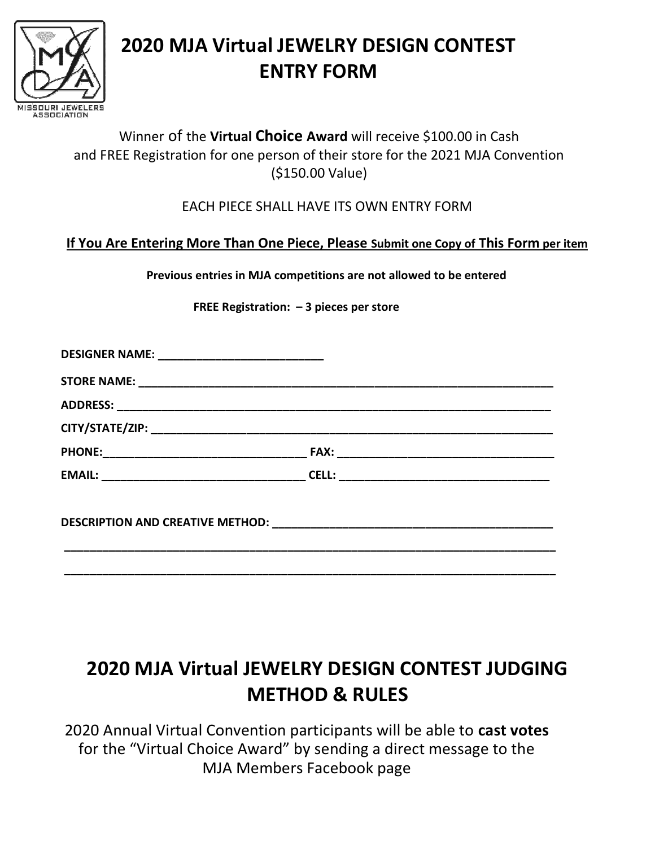

# 2020 MJA Virtual JEWELRY DESIGN CONTEST ENTRY FORM

# Winner of the Virtual Choice Award will receive \$100.00 in Cash and FREE Registration for one person of their store for the 2021 MJA Convention (\$150.00 Value)

## EACH PIECE SHALL HAVE ITS OWN ENTRY FORM

# If You Are Entering More Than One Piece, Please Submit one Copy of This Form per item

Previous entries in MJA competitions are not allowed to be entered

FREE Registration: – 3 pieces per store

| DESIGNER NAME: ________________________________ |  |
|-------------------------------------------------|--|
|                                                 |  |
|                                                 |  |
|                                                 |  |
|                                                 |  |
|                                                 |  |
|                                                 |  |
|                                                 |  |

# 2020 MJA Virtual JEWELRY DESIGN CONTEST JUDGING METHOD & RULES

2020 Annual Virtual Convention participants will be able to cast votes for the "Virtual Choice Award" by sending a direct message to the MJA Members Facebook page